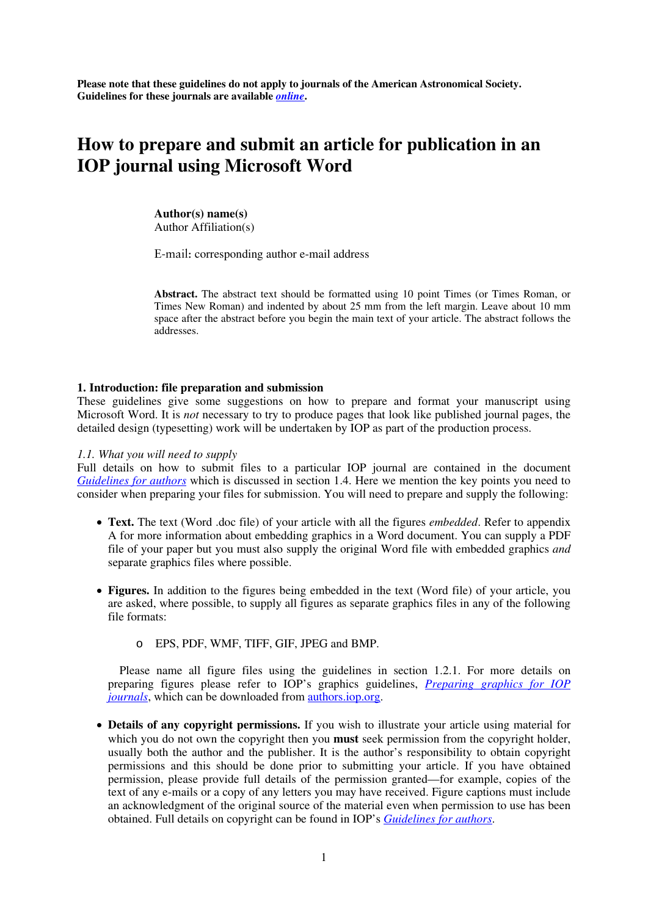**Please note that these guidelines do not apply to journals of the American Astronomical Society. Guidelines for these journals are available** *[online](http://aas.org/journals/authors/common_instruct)***.** 

# **How to prepare and submit an article for publication in an IOP journal using Microsoft Word**

**Author(s) name(s)**  Author Affiliation(s)

E-mail: corresponding author e-mail address

**Abstract.** The abstract text should be formatted using 10 point Times (or Times Roman, or Times New Roman) and indented by about 25 mm from the left margin. Leave about 10 mm space after the abstract before you begin the main text of your article. The abstract follows the addresses.

## **1. Introduction: file preparation and submission**

These guidelines give some suggestions on how to prepare and format your manuscript using Microsoft Word. It is *not* necessary to try to produce pages that look like published journal pages, the detailed design (typesetting) work will be undertaken by IOP as part of the production process.

## *1.1. What you will need to supply*

Full details on how to submit files to a particular IOP journal are contained in the document *[Guidelines for authors](http://authors.iop.org/atom/help.nsf/0/BB0C7FB81A28560B8025701F005AA63E?OpenDocument)* which is discussed in section 1.4. Here we mention the key points you need to consider when preparing your files for submission. You will need to prepare and supply the following:

- **Text.** The text (Word .doc file) of your article with all the figures *embedded*. Refer to appendix A for more information about embedding graphics in a Word document. You can supply a PDF file of your paper but you must also supply the original Word file with embedded graphics *and* separate graphics files where possible.
- **Figures.** In addition to the figures being embedded in the text (Word file) of your article, you are asked, where possible, to supply all figures as separate graphics files in any of the following file formats:
	- o EPS, PDF, WMF, TIFF, GIF, JPEG and BMP.

Please name all figure files using the guidelines in section 1.2.1. For more details on preparing figures please refer to IOP's graphics guidelines, *[Preparing graphics for IOP](http://authors.iop.org/atom/help.nsf/A9319940C9BB0E6B80257020002E618F/$File/IOPgraphicsguidelines.pdf)  [journals](http://authors.iop.org/atom/help.nsf/A9319940C9BB0E6B80257020002E618F/$File/IOPgraphicsguidelines.pdf)*, which can be downloaded from [authors.iop.org.](http://authors.iop.org/)

• **Details of any copyright permissions.** If you wish to illustrate your article using material for which you do not own the copyright then you **must** seek permission from the copyright holder, usually both the author and the publisher. It is the author's responsibility to obtain copyright permissions and this should be done prior to submitting your article. If you have obtained permission, please provide full details of the permission granted—for example, copies of the text of any e-mails or a copy of any letters you may have received. Figure captions must include an acknowledgment of the original source of the material even when permission to use has been obtained. Full details on copyright can be found in IOP's *[Guidelines for authors](http://authors.iop.org/atom/help.nsf/0/BB0C7FB81A28560B8025701F005AA63E?OpenDocument)*.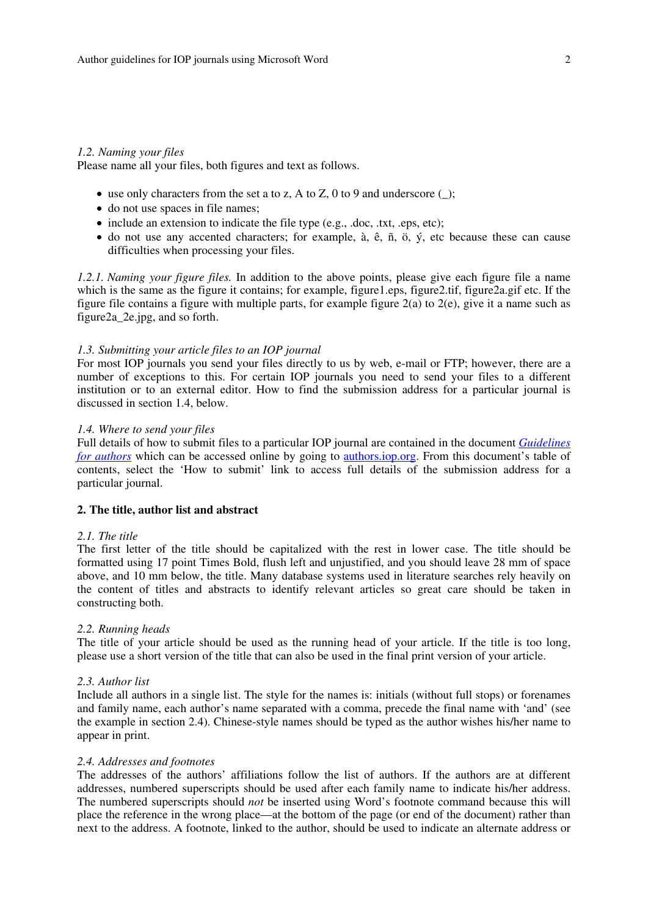#### *1.2. Naming your files*

Please name all your files, both figures and text as follows.

- use only characters from the set a to z, A to Z, 0 to 9 and underscore  $\Box$ ;
- do not use spaces in file names;
- include an extension to indicate the file type (e.g., .doc, .txt, .eps, etc);
- $\bullet$  do not use any accented characters; for example, à, ê, ñ, ö,  $\circ$ , etc because these can cause difficulties when processing your files.

*1.2.1. Naming your figure files.* In addition to the above points, please give each figure file a name which is the same as the figure it contains; for example, figure1.eps, figure2.tif, figure2a.gif etc. If the figure file contains a figure with multiple parts, for example figure 2(a) to 2(e), give it a name such as figure2a\_2e.jpg, and so forth.

## *1.3. Submitting your article files to an IOP journal*

For most IOP journals you send your files directly to us by web, e-mail or FTP; however, there are a number of exceptions to this. For certain IOP journals you need to send your files to a different institution or to an external editor. How to find the submission address for a particular journal is discussed in section 1.4, below.

#### *1.4. Where to send your files*

Full details of how to submit files to a particular IOP journal are contained in the document *[Guidelines](http://authors.iop.org/atom/help.nsf/0/BB0C7FB81A28560B8025701F005AA63E?OpenDocument)  [for authors](http://authors.iop.org/atom/help.nsf/0/BB0C7FB81A28560B8025701F005AA63E?OpenDocument)* which can be accessed online by going to [authors.iop.org.](http://authors.iop.org) From this document's table of contents, select the 'How to submit' link to access full details of the submission address for a particular journal.

## **2. The title, author list and abstract**

#### *2.1. The title*

The first letter of the title should be capitalized with the rest in lower case. The title should be formatted using 17 point Times Bold, flush left and unjustified, and you should leave 28 mm of space above, and 10 mm below, the title. Many database systems used in literature searches rely heavily on the content of titles and abstracts to identify relevant articles so great care should be taken in constructing both.

## *2.2. Running heads*

The title of your article should be used as the running head of your article. If the title is too long, please use a short version of the title that can also be used in the final print version of your article.

## *2.3. Author list*

Include all authors in a single list. The style for the names is: initials (without full stops) or forenames and family name, each author's name separated with a comma, precede the final name with 'and' (see the example in section 2.4). Chinese-style names should be typed as the author wishes his/her name to appear in print.

#### *2.4. Addresses and footnotes*

The addresses of the authors' affiliations follow the list of authors. If the authors are at different addresses, numbered superscripts should be used after each family name to indicate his/her address. The numbered superscripts should *not* be inserted using Word's footnote command because this will place the reference in the wrong place—at the bottom of the page (or end of the document) rather than next to the address. A footnote, linked to the author, should be used to indicate an alternate address or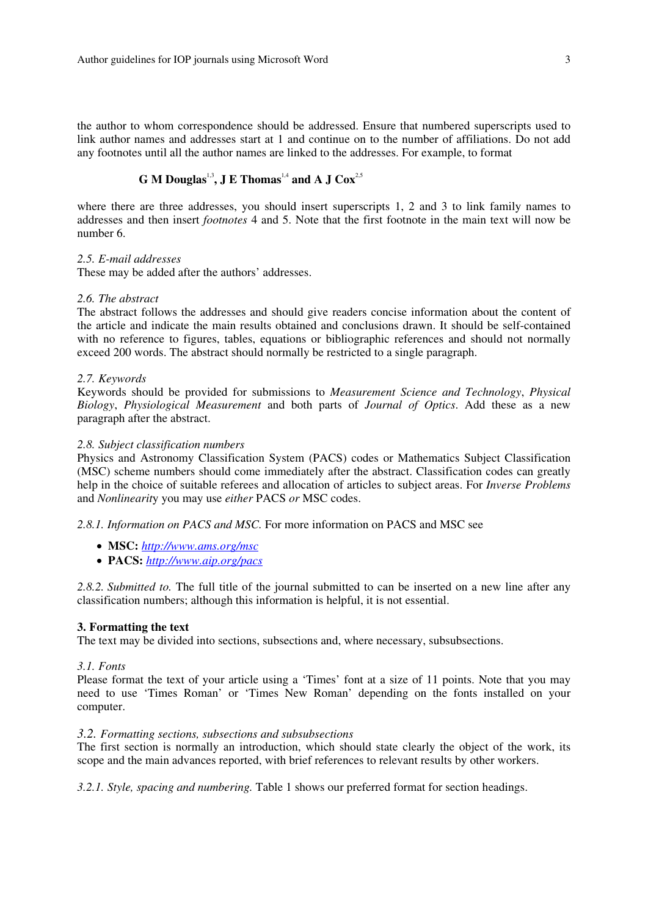the author to whom correspondence should be addressed. Ensure that numbered superscripts used to link author names and addresses start at 1 and continue on to the number of affiliations. Do not add any footnotes until all the author names are linked to the addresses. For example, to format

## **G** M Douglas<sup>1,3</sup>, J E Thomas<sup>1,4</sup> and A J Cox<sup>2,5</sup>

where there are three addresses, you should insert superscripts 1, 2 and 3 to link family names to addresses and then insert *footnotes* 4 and 5. Note that the first footnote in the main text will now be number 6.

#### *2.5. E-mail addresses*

These may be added after the authors' addresses.

#### *2.6. The abstract*

The abstract follows the addresses and should give readers concise information about the content of the article and indicate the main results obtained and conclusions drawn. It should be self-contained with no reference to figures, tables, equations or bibliographic references and should not normally exceed 200 words. The abstract should normally be restricted to a single paragraph.

## *2.7. Keywords*

Keywords should be provided for submissions to *Measurement Science and Technology*, *Physical Biology*, *Physiological Measurement* and both parts of *Journal of Optics*. Add these as a new paragraph after the abstract.

#### *2.8. Subject classification numbers*

Physics and Astronomy Classification System (PACS) codes or Mathematics Subject Classification (MSC) scheme numbers should come immediately after the abstract. Classification codes can greatly help in the choice of suitable referees and allocation of articles to subject areas. For *Inverse Problems* and *Nonlinearit*y you may use *either* PACS *or* MSC codes.

*2.8.1. Information on PACS and MSC.* For more information on PACS and MSC see

- **MSC:** *[http://www.ams.org/msc](http://www.ams.org/msc )*
- **PACS:** *<http://www.aip.org/pacs>*

*2.8.2. Submitted to.* The full title of the journal submitted to can be inserted on a new line after any classification numbers; although this information is helpful, it is not essential.

#### **3. Formatting the text**

The text may be divided into sections, subsections and, where necessary, subsubsections.

## *3.1. Fonts*

Please format the text of your article using a 'Times' font at a size of 11 points. Note that you may need to use 'Times Roman' or 'Times New Roman' depending on the fonts installed on your computer.

## *3.2. Formatting sections, subsections and subsubsections*

The first section is normally an introduction, which should state clearly the object of the work, its scope and the main advances reported, with brief references to relevant results by other workers.

*3.2.1. Style, spacing and numbering.* Table 1 shows our preferred format for section headings.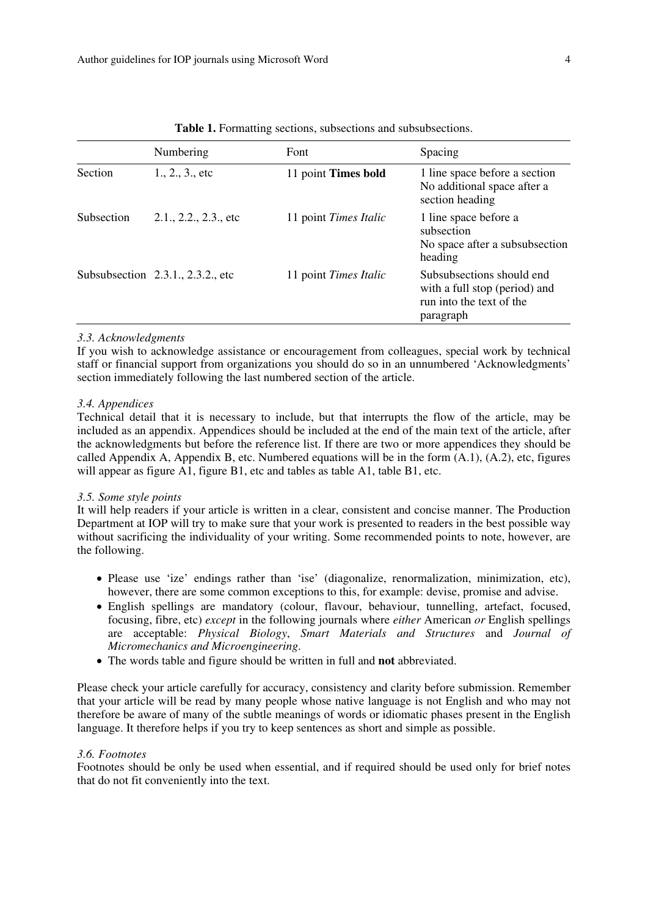|            | Numbering                         | Font                  | Spacing                                                                                             |
|------------|-----------------------------------|-----------------------|-----------------------------------------------------------------------------------------------------|
| Section    | 1., 2., 3., etc                   | 11 point Times bold   | 1 line space before a section<br>No additional space after a<br>section heading                     |
| Subsection | $2.1., 2.2., 2.3.,$ etc           | 11 point Times Italic | 1 line space before a<br>subsection<br>No space after a subsubsection<br>heading                    |
|            | Subsubsection 2.3.1., 2.3.2., etc | 11 point Times Italic | Subsubsections should end<br>with a full stop (period) and<br>run into the text of the<br>paragraph |

**Table 1.** Formatting sections, subsections and subsubsections.

## *3.3. Acknowledgments*

If you wish to acknowledge assistance or encouragement from colleagues, special work by technical staff or financial support from organizations you should do so in an unnumbered 'Acknowledgments' section immediately following the last numbered section of the article.

## *3.4. Appendices*

Technical detail that it is necessary to include, but that interrupts the flow of the article, may be included as an appendix. Appendices should be included at the end of the main text of the article, after the acknowledgments but before the reference list. If there are two or more appendices they should be called Appendix A, Appendix B, etc. Numbered equations will be in the form  $(A.1)$ ,  $(A.2)$ , etc, figures will appear as figure A1, figure B1, etc and tables as table A1, table B1, etc.

## *3.5. Some style points*

It will help readers if your article is written in a clear, consistent and concise manner. The Production Department at IOP will try to make sure that your work is presented to readers in the best possible way without sacrificing the individuality of your writing. Some recommended points to note, however, are the following.

- Please use 'ize' endings rather than 'ise' (diagonalize, renormalization, minimization, etc), however, there are some common exceptions to this, for example: devise, promise and advise.
- English spellings are mandatory (colour, flavour, behaviour, tunnelling, artefact, focused, focusing, fibre, etc) *except* in the following journals where *either* American *or* English spellings are acceptable: *Physical Biology*, *Smart Materials and Structures* and *Journal of Micromechanics and Microengineering*.
- The words table and figure should be written in full and **not** abbreviated.

Please check your article carefully for accuracy, consistency and clarity before submission. Remember that your article will be read by many people whose native language is not English and who may not therefore be aware of many of the subtle meanings of words or idiomatic phases present in the English language. It therefore helps if you try to keep sentences as short and simple as possible.

## *3.6. Footnotes*

Footnotes should be only be used when essential, and if required should be used only for brief notes that do not fit conveniently into the text.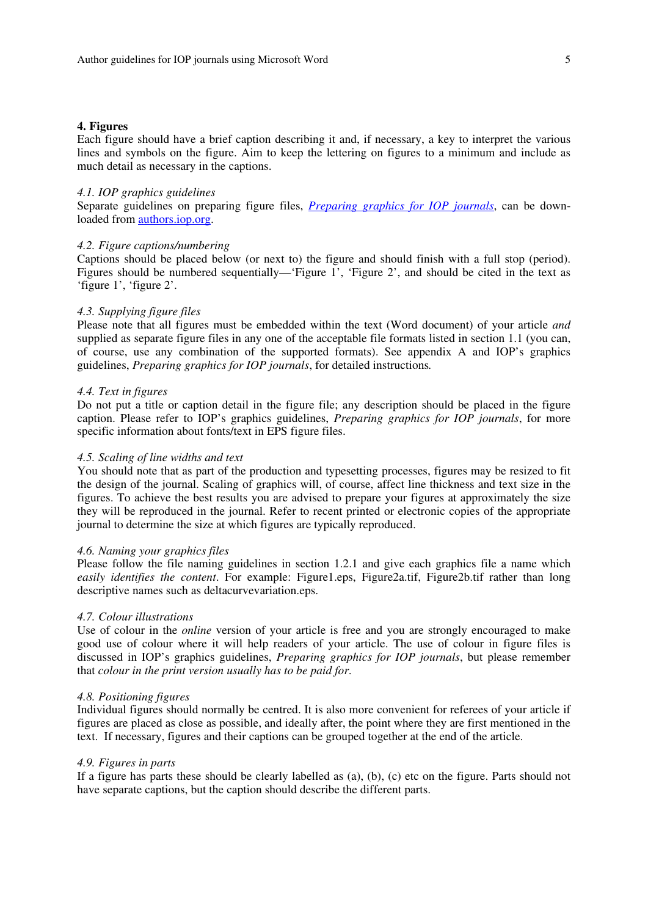#### **4. Figures**

Each figure should have a brief caption describing it and, if necessary, a key to interpret the various lines and symbols on the figure. Aim to keep the lettering on figures to a minimum and include as much detail as necessary in the captions.

#### *4.1. IOP graphics guidelines*

Separate guidelines on preparing figure files, *[Preparing graphics for IOP journals](http://authors.iop.org/atom/help.nsf/A9319940C9BB0E6B80257020002E618F/$File/IOPgraphicsguidelines.pdf)*, can be downloaded fro[m authors.iop.org.](http://authors.iop.org) 

#### *4.2. Figure captions/numbering*

Captions should be placed below (or next to) the figure and should finish with a full stop (period). Figures should be numbered sequentially—'Figure 1', 'Figure 2', and should be cited in the text as 'figure 1', 'figure 2'.

#### *4.3. Supplying figure files*

Please note that all figures must be embedded within the text (Word document) of your article *and* supplied as separate figure files in any one of the acceptable file formats listed in section 1.1 (you can, of course, use any combination of the supported formats). See appendix A and IOP's graphics guidelines, *Preparing graphics for IOP journals*, for detailed instructions*.*

#### *4.4. Text in figures*

Do not put a title or caption detail in the figure file; any description should be placed in the figure caption. Please refer to IOP's graphics guidelines, *Preparing graphics for IOP journals*, for more specific information about fonts/text in EPS figure files.

## *4.5. Scaling of line widths and text*

You should note that as part of the production and typesetting processes, figures may be resized to fit the design of the journal. Scaling of graphics will, of course, affect line thickness and text size in the figures. To achieve the best results you are advised to prepare your figures at approximately the size they will be reproduced in the journal. Refer to recent printed or electronic copies of the appropriate journal to determine the size at which figures are typically reproduced.

#### *4.6. Naming your graphics files*

Please follow the file naming guidelines in section 1.2.1 and give each graphics file a name which *easily identifies the content*. For example: Figure1.eps, Figure2a.tif, Figure2b.tif rather than long descriptive names such as deltacurvevariation.eps.

## *4.7. Colour illustrations*

Use of colour in the *online* version of your article is free and you are strongly encouraged to make good use of colour where it will help readers of your article. The use of colour in figure files is discussed in IOP's graphics guidelines, *Preparing graphics for IOP journals*, but please remember that *colour in the print version usually has to be paid for*.

#### *4.8. Positioning figures*

Individual figures should normally be centred. It is also more convenient for referees of your article if figures are placed as close as possible, and ideally after, the point where they are first mentioned in the text. If necessary, figures and their captions can be grouped together at the end of the article.

#### *4.9. Figures in parts*

If a figure has parts these should be clearly labelled as (a), (b), (c) etc on the figure. Parts should not have separate captions, but the caption should describe the different parts.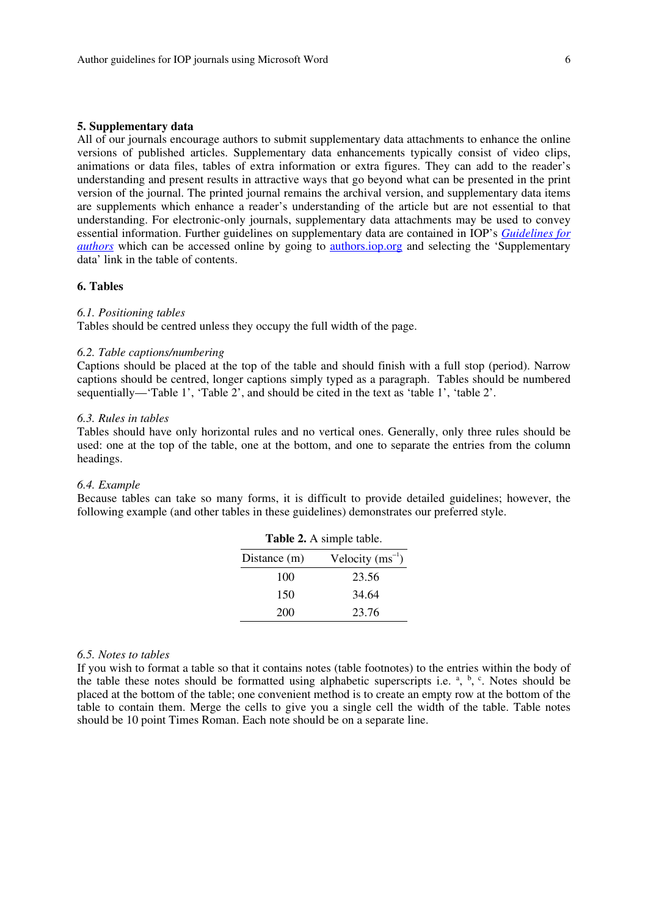## **5. Supplementary data**

All of our journals encourage authors to submit supplementary data attachments to enhance the online versions of published articles. Supplementary data enhancements typically consist of video clips, animations or data files, tables of extra information or extra figures. They can add to the reader's understanding and present results in attractive ways that go beyond what can be presented in the print version of the journal. The printed journal remains the archival version, and supplementary data items are supplements which enhance a reader's understanding of the article but are not essential to that understanding. For electronic-only journals, supplementary data attachments may be used to convey essential information. Further guidelines on supplementary data are contained in IOP's *[Guidelines for](http://authors.iop.org/atom/help.nsf/0/BB0C7FB81A28560B8025701F005AA63E?OpenDocument)  [authors](http://authors.iop.org/atom/help.nsf/0/BB0C7FB81A28560B8025701F005AA63E?OpenDocument)* which can be accessed online by going to authors.jop.org and selecting the 'Supplementary' data' link in the table of contents.

## **6. Tables**

#### *6.1. Positioning tables*

Tables should be centred unless they occupy the full width of the page.

## *6.2. Table captions/numbering*

Captions should be placed at the top of the table and should finish with a full stop (period). Narrow captions should be centred, longer captions simply typed as a paragraph. Tables should be numbered sequentially—'Table 1', 'Table 2', and should be cited in the text as 'table 1', 'table 2'.

#### *6.3. Rules in tables*

Tables should have only horizontal rules and no vertical ones. Generally, only three rules should be used: one at the top of the table, one at the bottom, and one to separate the entries from the column headings.

## *6.4. Example*

Because tables can take so many forms, it is difficult to provide detailed guidelines; however, the following example (and other tables in these guidelines) demonstrates our preferred style.

| Table 2. A simple table. |  |  |  |  |  |  |  |
|--------------------------|--|--|--|--|--|--|--|
| Velocity $(ms^{-1})$     |  |  |  |  |  |  |  |
| 23.56                    |  |  |  |  |  |  |  |
| 34.64                    |  |  |  |  |  |  |  |
| 23.76                    |  |  |  |  |  |  |  |
|                          |  |  |  |  |  |  |  |

#### *6.5. Notes to tables*

If you wish to format a table so that it contains notes (table footnotes) to the entries within the body of the table these notes should be formatted using alphabetic superscripts i.e.  $a$ ,  $b$ ,  $c$ . Notes should be placed at the bottom of the table; one convenient method is to create an empty row at the bottom of the table to contain them. Merge the cells to give you a single cell the width of the table. Table notes should be 10 point Times Roman. Each note should be on a separate line.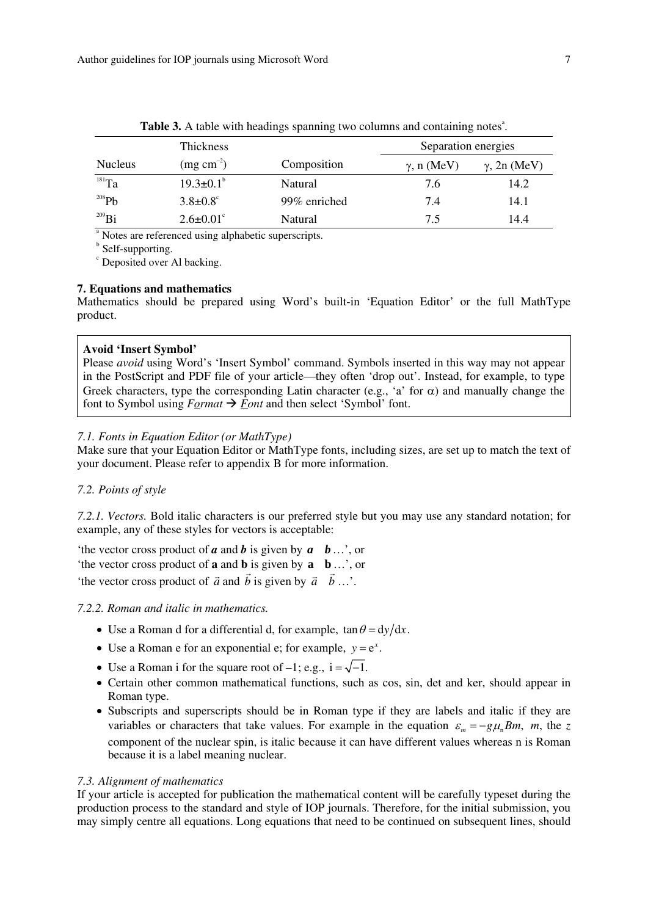|                | <b>Thickness</b>                                                 |              | Separation energies |                     |  |  |
|----------------|------------------------------------------------------------------|--------------|---------------------|---------------------|--|--|
| <b>Nucleus</b> | $(mg cm^{-2})$                                                   | Composition  | $\gamma$ , n (MeV)  | $\gamma$ , 2n (MeV) |  |  |
| $181$ Ta       | $19.3 \pm 0.1^{\circ}$                                           | Natural      | 7.6                 | 14.2                |  |  |
| $^{208}Pb$     | $3.8 \pm 0.8$ °                                                  | 99% enriched | 7.4                 | 14.1                |  |  |
| $^{209}$ Bi    | $2.6 \pm 0.01$ °                                                 | Natural      | 7.5                 | 14.4                |  |  |
|                | <sup>a</sup> Notes are referenced using alphabetic superscripts. |              |                     |                     |  |  |

Table 3. A table with headings spanning two columns and containing notes<sup>a</sup>.

**b** Self-supporting.

<sup>c</sup> Deposited over Al backing.

## **7. Equations and mathematics**

Mathematics should be prepared using Word's built-in 'Equation Editor' or the full MathType product.

### **Avoid 'Insert Symbol'**

Please *avoid* using Word's 'Insert Symbol' command. Symbols inserted in this way may not appear in the PostScript and PDF file of your article—they often 'drop out'. Instead, for example, to type Greek characters, type the corresponding Latin character (e.g., 'a' for  $\alpha$ ) and manually change the font to Symbol using  $F_{\text{Qrm}} \to \overline{F}_{\text{Ont}}$  and then select 'Symbol' font.

## *7.1. Fonts in Equation Editor (or MathType)*

Make sure that your Equation Editor or MathType fonts, including sizes, are set up to match the text of your document. Please refer to appendix B for more information.

## *7.2. Points of style*

*7.2.1. Vectors.* Bold italic characters is our preferred style but you may use any standard notation; for example, any of these styles for vectors is acceptable:

'the vector cross product of *a* and *b* is given by *a b*…', or 'the vector cross product of **a** and **b** is given by **a b**…', or the vector cross product of  $\vec{a}$  and  $\vec{b}$  is given by  $\vec{a}$   $\vec{b}$  ...,  $\vec{c}$  the vector cross product of  $\vec{a}$  and  $\vec{b}$  is given by  $\vec{a}$   $\vec{b}$  ...,

## *7.2.2. Roman and italic in mathematics.*

- Use a Roman d for a differential d, for example,  $\tan \theta = dy/dx$ .
- Use a Roman e for an exponential e; for example,  $v = e^x$ .
- Use a Roman i for the square root of  $-1$ ; e.g.,  $i = \sqrt{-1}$ .
- Certain other common mathematical functions, such as cos, sin, det and ker, should appear in Roman type.
- Subscripts and superscripts should be in Roman type if they are labels and italic if they are variables or characters that take values. For example in the equation  $\varepsilon_m = -g\mu_n Bm$ , *m*, the *z* component of the nuclear spin, is italic because it can have different values whereas n is Roman because it is a label meaning nuclear.

## *7.3. Alignment of mathematics*

If your article is accepted for publication the mathematical content will be carefully typeset during the production process to the standard and style of IOP journals. Therefore, for the initial submission, you may simply centre all equations. Long equations that need to be continued on subsequent lines, should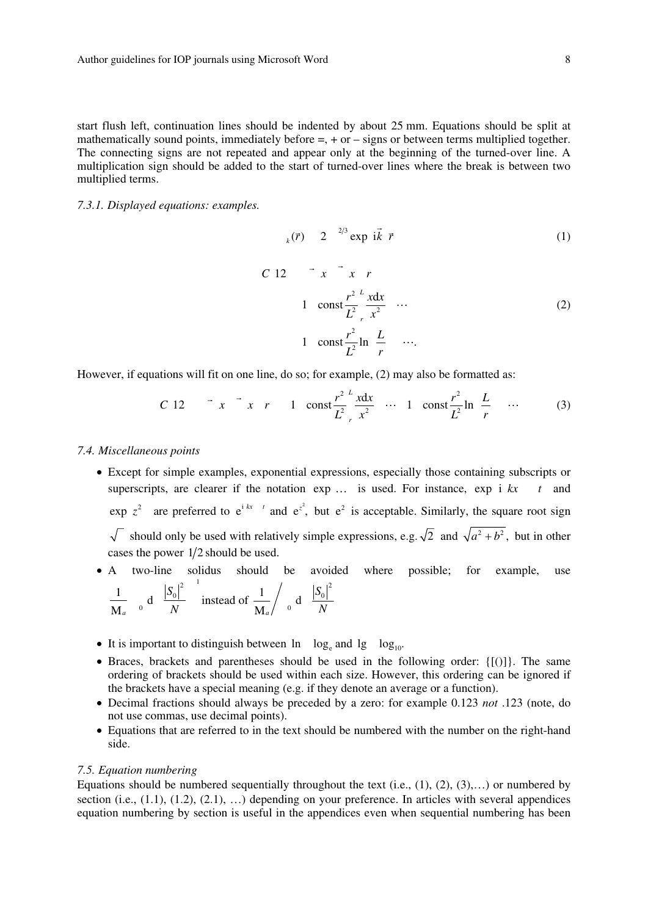start flush left, continuation lines should be indented by about 25 mm. Equations should be split at mathematically sound points, immediately before  $=$ ,  $+$  or  $-$  signs or between terms multiplied together. The connecting signs are not repeated and appear only at the beginning of the turned-over line. A multiplication sign should be added to the start of turned-over lines where the break is between two multiplied terms.

*7.3.1. Displayed equations: examples.* 

$$
_{k}(\vec{r}) \quad 2 \quad {}^{2/3}\exp\ i\vec{k}\ \vec{r} \tag{1}
$$

$$
C \t 12 \t x \t x \t r
$$
  
\n
$$
1 \t const \frac{r^2}{L^2} \Big|_{r}^{x} \frac{x dx}{x^2} \t ...
$$
  
\n
$$
1 \t const \frac{r^2}{L^2} \ln \frac{L}{r} \t ...
$$
  
\n(2)

However, if equations will fit on one line, do so; for example, (2) may also be formatted as:

C 12 
$$
x^2 + x^2 + 1
$$
 const  $\frac{r^2}{L^2} \frac{x dx}{x^2}$  ... 1 const  $\frac{r^2}{L^2} \ln \frac{L}{r}$  ... (3)

#### *7.4. Miscellaneous points*

- Except for simple examples, exponential expressions, especially those containing subscripts or superscripts, are clearer if the notation  $\exp \ldots$  is used. For instance,  $\exp i kx$  t and  $\exp z^2$  are preferred to  $e^{i kx - t}$  and  $e^{z^2}$ , but  $e^2$  is acceptable. Similarly, the square root sign  $\sqrt{\ }$  should only be used with relatively simple expressions, e.g.  $\sqrt{2}$  and  $\sqrt{a^2+b^2}$ , but in other cases the power  $1/2$  should be used.
- A two-line solidus should be avoided where possible; for example, use  $\sqrt{2}$  1

$$
\frac{1}{M_a} \quad \text{o} \quad d \quad \frac{|S_0|^2}{N} \quad \text{instead of} \quad \frac{1}{M_a} / \quad \text{o} \quad d \quad \frac{|S_0|^2}{N}
$$

- It is important to distinguish between  $\ln \log_e$  and  $\log \log_{10}$ .
- Braces, brackets and parentheses should be used in the following order: {[()]}. The same ordering of brackets should be used within each size. However, this ordering can be ignored if the brackets have a special meaning (e.g. if they denote an average or a function).
- Decimal fractions should always be preceded by a zero: for example 0.123 *not* .123 (note, do not use commas, use decimal points).
- Equations that are referred to in the text should be numbered with the number on the right-hand side.

## *7.5. Equation numbering*

Equations should be numbered sequentially throughout the text (i.e.,  $(1)$ ,  $(2)$ ,  $(3)$ ,...) or numbered by section (i.e.,  $(1.1)$ ,  $(1.2)$ ,  $(2.1)$ , ...) depending on your preference. In articles with several appendices equation numbering by section is useful in the appendices even when sequential numbering has been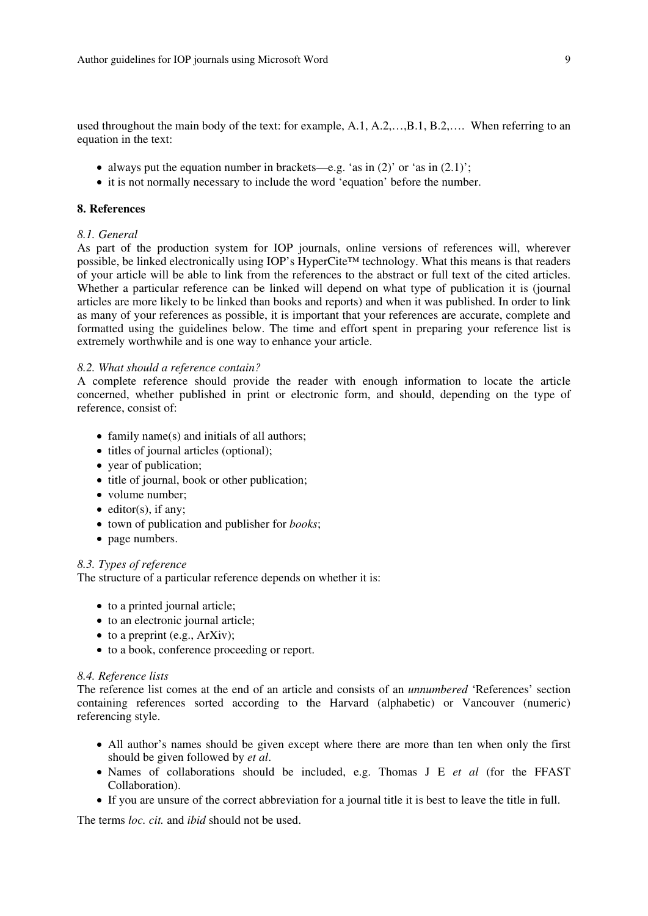used throughout the main body of the text: for example, A.1, A.2,…, B.1, B.2,…. When referring to an equation in the text:

- always put the equation number in brackets—e.g. 'as in  $(2)'$  or 'as in  $(2.1)'$ ;
- it is not normally necessary to include the word 'equation' before the number.

## **8. References**

## *8.1. General*

As part of the production system for IOP journals, online versions of references will, wherever possible, be linked electronically using IOP's HyperCite™ technology. What this means is that readers of your article will be able to link from the references to the abstract or full text of the cited articles. Whether a particular reference can be linked will depend on what type of publication it is (journal articles are more likely to be linked than books and reports) and when it was published. In order to link as many of your references as possible, it is important that your references are accurate, complete and formatted using the guidelines below. The time and effort spent in preparing your reference list is extremely worthwhile and is one way to enhance your article.

## *8.2. What should a reference contain?*

A complete reference should provide the reader with enough information to locate the article concerned, whether published in print or electronic form, and should, depending on the type of reference, consist of:

- family name(s) and initials of all authors:
- titles of journal articles (optional);
- year of publication;
- title of journal, book or other publication;
- volume number;
- editor(s), if any;
- town of publication and publisher for *books*;
- page numbers.

## *8.3. Types of reference*

The structure of a particular reference depends on whether it is:

- to a printed journal article;
- to an electronic journal article;
- to a preprint (e.g., ArXiv);
- to a book, conference proceeding or report.

#### *8.4. Reference lists*

The reference list comes at the end of an article and consists of an *unnumbered* 'References' section containing references sorted according to the Harvard (alphabetic) or Vancouver (numeric) referencing style.

- All author's names should be given except where there are more than ten when only the first should be given followed by *et al*.
- Names of collaborations should be included, e.g. Thomas J E *et al* (for the FFAST Collaboration).
- If you are unsure of the correct abbreviation for a journal title it is best to leave the title in full.

The terms *loc. cit.* and *ibid* should not be used.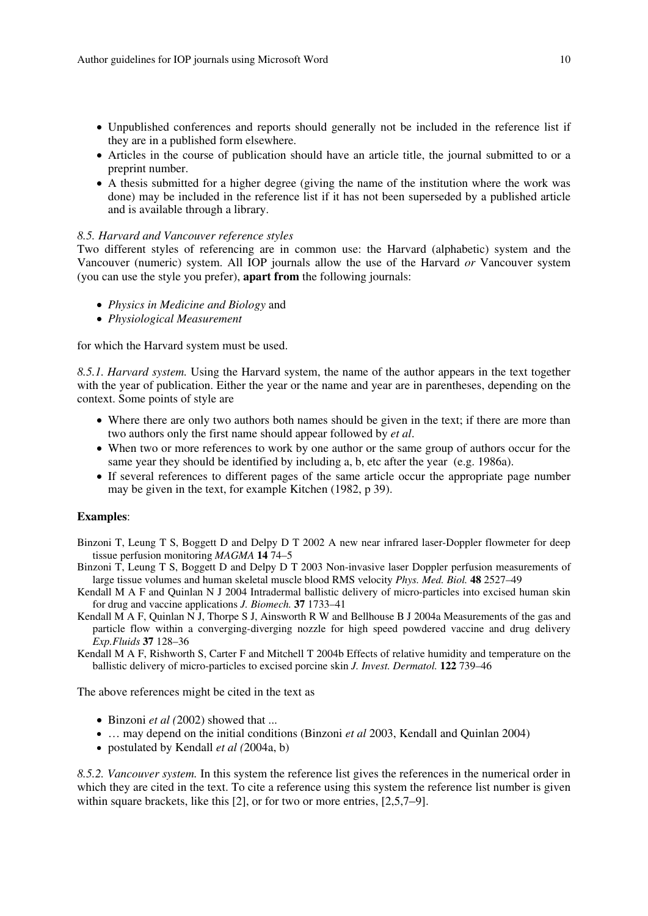- Unpublished conferences and reports should generally not be included in the reference list if they are in a published form elsewhere.
- Articles in the course of publication should have an article title, the journal submitted to or a preprint number.
- A thesis submitted for a higher degree (giving the name of the institution where the work was done) may be included in the reference list if it has not been superseded by a published article and is available through a library.

## *8.5. Harvard and Vancouver reference styles*

Two different styles of referencing are in common use: the Harvard (alphabetic) system and the Vancouver (numeric) system. All IOP journals allow the use of the Harvard *or* Vancouver system (you can use the style you prefer), **apart from** the following journals:

- *Physics in Medicine and Biology* and
- *Physiological Measurement*

for which the Harvard system must be used.

*8.5.1. Harvard system.* Using the Harvard system, the name of the author appears in the text together with the year of publication. Either the year or the name and year are in parentheses, depending on the context. Some points of style are

- Where there are only two authors both names should be given in the text; if there are more than two authors only the first name should appear followed by *et al*.
- When two or more references to work by one author or the same group of authors occur for the same year they should be identified by including a, b, etc after the year (e.g. 1986a).
- If several references to different pages of the same article occur the appropriate page number may be given in the text, for example Kitchen (1982, p 39).

## **Examples**:

- Binzoni T, Leung T S, Boggett D and Delpy D T 2002 A new near infrared laser-Doppler flowmeter for deep tissue perfusion monitoring *MAGMA* **14** 74–5
- Binzoni T, Leung T S, Boggett D and Delpy D T 2003 Non-invasive laser Doppler perfusion measurements of large tissue volumes and human skeletal muscle blood RMS velocity *Phys. Med. Biol.* **48** 2527–49
- Kendall M A F and Quinlan N J 2004 Intradermal ballistic delivery of micro-particles into excised human skin for drug and vaccine applications *J. Biomech.* **37** 1733–41
- Kendall M A F, Quinlan N J, Thorpe S J, Ainsworth R W and Bellhouse B J 2004a Measurements of the gas and particle flow within a converging-diverging nozzle for high speed powdered vaccine and drug delivery *Exp.Fluids* **37** 128–36

Kendall M A F, Rishworth S, Carter F and Mitchell T 2004b Effects of relative humidity and temperature on the ballistic delivery of micro-particles to excised porcine skin *J. Invest. Dermatol.* **122** 739–46

The above references might be cited in the text as

- Binzoni *et al (*2002) showed that ...
- ... may depend on the initial conditions (Binzoni *et al* 2003, Kendall and Quinlan 2004)
- postulated by Kendall *et al (*2004a, b)

*8.5.2. Vancouver system.* In this system the reference list gives the references in the numerical order in which they are cited in the text. To cite a reference using this system the reference list number is given within square brackets, like this [2], or for two or more entries, [2,5,7*–*9].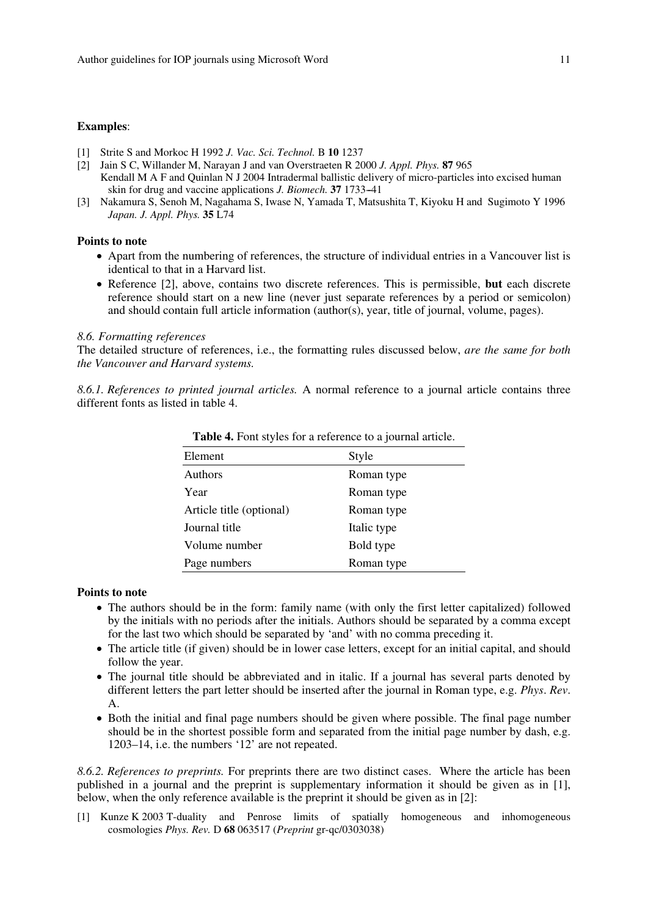## **Examples**:

- [1] Strite S and Morkoc H 1992 *J. Vac. Sci. Technol.* B **10** 1237
- [2] Jain S C, Willander M, Narayan J and van Overstraeten R 2000 *J. Appl. Phys.* **87** 965 Kendall M A F and Quinlan N J 2004 Intradermal ballistic delivery of micro-particles into excised human skin for drug and vaccine applications *J. Biomech.* **37** 1733--41
- [3] Nakamura S, Senoh M, Nagahama S, Iwase N, Yamada T, Matsushita T, Kiyoku H and Sugimoto Y 1996 *Japan. J. Appl. Phys.* **35** L74

#### **Points to note**

- Apart from the numbering of references, the structure of individual entries in a Vancouver list is identical to that in a Harvard list.
- Reference [2], above, contains two discrete references. This is permissible, **but** each discrete reference should start on a new line (never just separate references by a period or semicolon) and should contain full article information (author(s), year, title of journal, volume, pages).

#### *8.6. Formatting references*

The detailed structure of references, i.e., the formatting rules discussed below, *are the same for both the Vancouver and Harvard systems.*

*8.6.1. References to printed journal articles.* A normal reference to a journal article contains three different fonts as listed in table 4.

| Element                  | Style       |
|--------------------------|-------------|
| <b>Authors</b>           | Roman type  |
| Year                     | Roman type  |
| Article title (optional) | Roman type  |
| Journal title            | Italic type |
| Volume number            | Bold type   |
| Page numbers             | Roman type  |

**Table 4.** Font styles for a reference to a journal article.

## **Points to note**

- The authors should be in the form: family name (with only the first letter capitalized) followed by the initials with no periods after the initials. Authors should be separated by a comma except for the last two which should be separated by 'and' with no comma preceding it.
- The article title (if given) should be in lower case letters, except for an initial capital, and should follow the year.
- The journal title should be abbreviated and in italic. If a journal has several parts denoted by different letters the part letter should be inserted after the journal in Roman type, e.g. *Phys*. *Rev*. A.
- Both the initial and final page numbers should be given where possible. The final page number should be in the shortest possible form and separated from the initial page number by dash, e.g. 1203–14, i.e. the numbers '12' are not repeated.

*8.6.2. References to preprints.* For preprints there are two distinct cases. Where the article has been published in a journal and the preprint is supplementary information it should be given as in [1], below, when the only reference available is the preprint it should be given as in [2]:

[1] Kunze K 2003 T-duality and Penrose limits of spatially homogeneous and inhomogeneous cosmologies *Phys. Rev.* D **68** 063517 (*Preprint* gr-qc/0303038)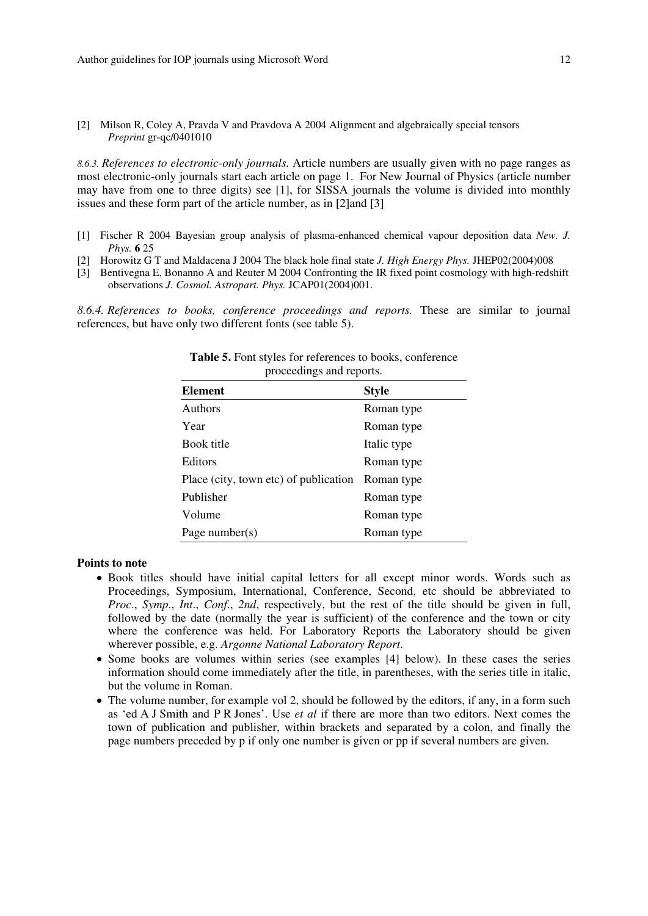[2] Milson R, Coley A, Pravda V and Pravdova A 2004 Alignment and algebraically special tensors *Preprint* gr-qc/0401010

*8.6.3. References to electronic-only journals.* Article numbers are usually given with no page ranges as most electronic-only journals start each article on page 1. For New Journal of Physics (article number may have from one to three digits) see [1], for SISSA journals the volume is divided into monthly issues and these form part of the article number, as in [2]and [3]

- [1] Fischer R 2004 Bayesian group analysis of plasma-enhanced chemical vapour deposition data *New. J. Phys.* **6** 25
- [2] Horowitz G T and Maldacena J 2004 The black hole final state *J. High Energy Phys.* JHEP02(2004)008
- [3] Bentivegna E, Bonanno A and Reuter M 2004 Confronting the IR fixed point cosmology with high-redshift observations *J. Cosmol. Astropart. Phys.* JCAP01(2004)001.

*8.6.4. References to books, conference proceedings and reports.* These are similar to journal references, but have only two different fonts (see table 5).

| $\mu$ occedings and reports.          |              |  |  |  |  |  |
|---------------------------------------|--------------|--|--|--|--|--|
| <b>Element</b>                        | <b>Style</b> |  |  |  |  |  |
| <b>Authors</b>                        | Roman type   |  |  |  |  |  |
| Year                                  | Roman type   |  |  |  |  |  |
| Book title                            | Italic type  |  |  |  |  |  |
| Editors                               | Roman type   |  |  |  |  |  |
| Place (city, town etc) of publication | Roman type   |  |  |  |  |  |
| Publisher                             | Roman type   |  |  |  |  |  |
| Volume                                | Roman type   |  |  |  |  |  |
| Page number(s)                        | Roman type   |  |  |  |  |  |

| <b>Table 5.</b> Font styles for references to books, conference |  |
|-----------------------------------------------------------------|--|
| proceedings and reports.                                        |  |

## **Points to note**

- Book titles should have initial capital letters for all except minor words. Words such as Proceedings, Symposium, International, Conference, Second, etc should be abbreviated to *Proc*., *Symp*., *Int*., *Conf*., *2nd*, respectively, but the rest of the title should be given in full, followed by the date (normally the year is sufficient) of the conference and the town or city where the conference was held. For Laboratory Reports the Laboratory should be given wherever possible, e.g. *Argonne National Laboratory Report*.
- Some books are volumes within series (see examples [4] below). In these cases the series information should come immediately after the title, in parentheses, with the series title in italic, but the volume in Roman.
- The volume number, for example vol 2, should be followed by the editors, if any, in a form such as 'ed A J Smith and P R Jones'. Use *et al* if there are more than two editors. Next comes the town of publication and publisher, within brackets and separated by a colon, and finally the page numbers preceded by p if only one number is given or pp if several numbers are given.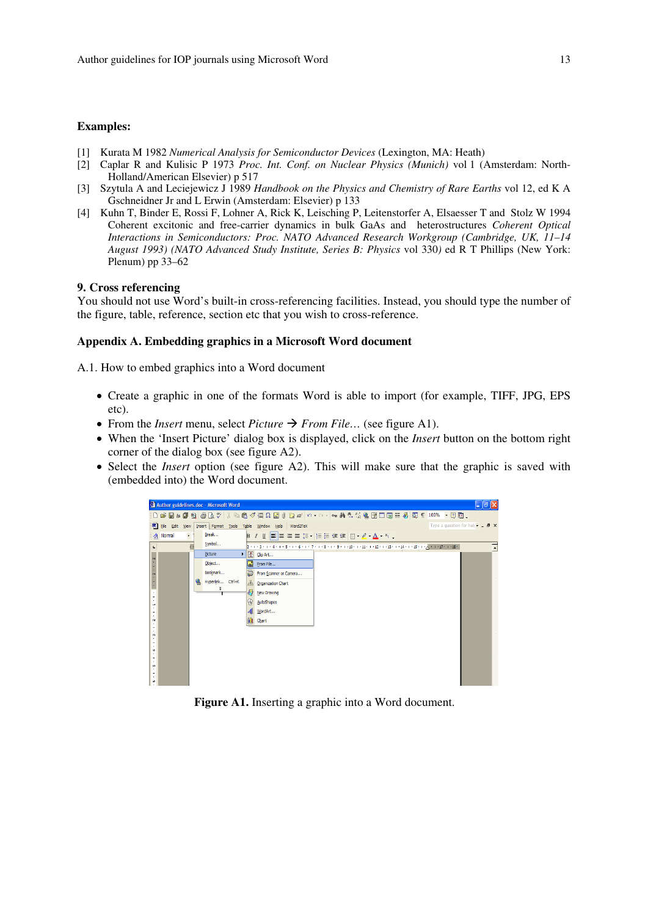## **Examples:**

- [1] Kurata M 1982 *Numerical Analysis for Semiconductor Devices* (Lexington, MA: Heath)
- [2] Caplar R and Kulisic P 1973 *Proc. Int. Conf. on Nuclear Physics (Munich)* vol 1 (Amsterdam: North-Holland/American Elsevier) p 517
- [3] Szytula A and Leciejewicz J 1989 *Handbook on the Physics and Chemistry of Rare Earths* vol 12, ed K A Gschneidner Jr and L Erwin (Amsterdam: Elsevier) p 133
- [4] Kuhn T, Binder E, Rossi F, Lohner A, Rick K, Leisching P, Leitenstorfer A, Elsaesser T and Stolz W 1994 Coherent excitonic and free-carrier dynamics in bulk GaAs and heterostructures *Coherent Optical Interactions in Semiconductors: Proc. NATO Advanced Research Workgroup (Cambridge, UK, 11*–*14 August 1993) (NATO Advanced Study Institute, Series B: Physics* vol 330*)* ed R T Phillips (New York: Plenum) pp 33–62

## **9. Cross referencing**

You should not use Word's built-in cross-referencing facilities. Instead, you should type the number of the figure, table, reference, section etc that you wish to cross-reference.

## **Appendix A. Embedding graphics in a Microsoft Word document**

A.1. How to embed graphics into a Word document

- Create a graphic in one of the formats Word is able to import (for example, TIFF, JPG, EPS etc).
- From the *Insert* menu, select *Picture*  $\rightarrow$  *From File*... (see figure A1).
- When the 'Insert Picture' dialog box is displayed, click on the *Insert* button on the bottom right corner of the dialog box (see figure A2).
- Select the *Insert* option (see figure A2). This will make sure that the graphic is saved with (embedded into) the Word document.



**Figure A1.** Inserting a graphic into a Word document.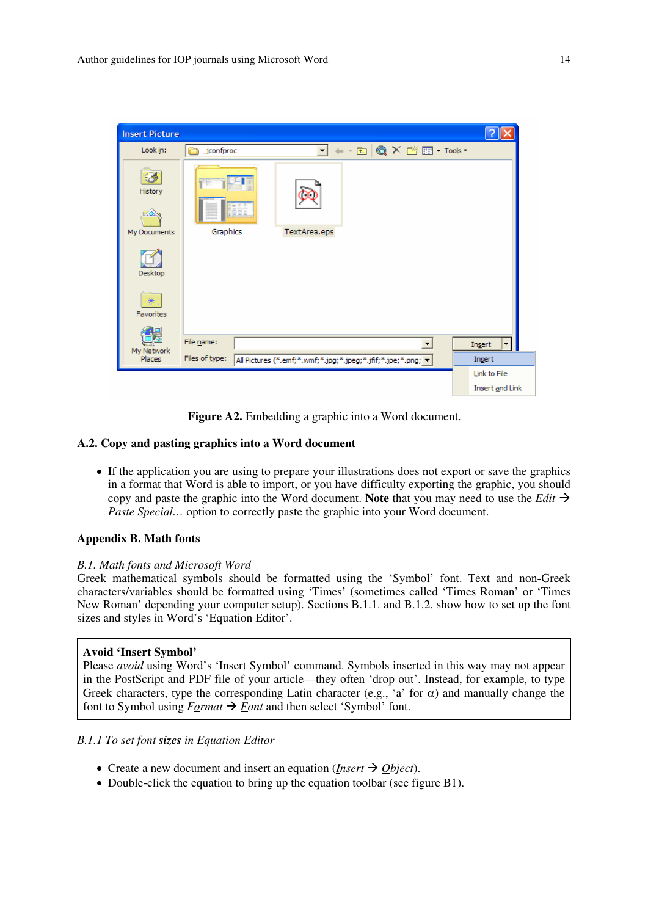| <b>Insert Picture</b>   |                |              |                                                                                                                                                                                                                                                                                                                                                                                                                        |                                |
|-------------------------|----------------|--------------|------------------------------------------------------------------------------------------------------------------------------------------------------------------------------------------------------------------------------------------------------------------------------------------------------------------------------------------------------------------------------------------------------------------------|--------------------------------|
| Look in:                | _jconfproc     |              | $\leftarrow$ $\bigcirc$ $\bigcirc$ $\times$ $\bigcirc$ $\bigcirc$ $\bigcirc$ $\bigcirc$ $\bigcirc$ $\bigcirc$ $\bigcirc$ $\bigcirc$ $\bigcirc$ $\bigcirc$ $\bigcirc$ $\bigcirc$ $\bigcirc$ $\bigcirc$ $\bigcirc$ $\bigcirc$ $\bigcirc$ $\bigcirc$ $\bigcirc$ $\bigcirc$ $\bigcirc$ $\bigcirc$ $\bigcirc$ $\bigcirc$ $\bigcirc$ $\bigcirc$ $\bigcirc$ $\bigcirc$ $\bigcirc$ $\bigcirc$ $\bigcirc$ $\bigcirc$ $\bigcirc$ |                                |
| g<br>History            | 景点             |              |                                                                                                                                                                                                                                                                                                                                                                                                                        |                                |
| My Documents            | Graphics       | TextArea.eps |                                                                                                                                                                                                                                                                                                                                                                                                                        |                                |
| Desktop                 |                |              |                                                                                                                                                                                                                                                                                                                                                                                                                        |                                |
| $*$<br><b>Favorites</b> |                |              |                                                                                                                                                                                                                                                                                                                                                                                                                        |                                |
|                         |                |              |                                                                                                                                                                                                                                                                                                                                                                                                                        |                                |
| My Network              | File name:     |              |                                                                                                                                                                                                                                                                                                                                                                                                                        | Insert<br>$\blacktriangledown$ |
| Places                  | Files of type: |              | All Pictures (*.emf;*.wmf;*.jpg;*.jpeg;*.jfif;*.jpe;*.png; v                                                                                                                                                                                                                                                                                                                                                           | Insert                         |
|                         |                |              |                                                                                                                                                                                                                                                                                                                                                                                                                        | Link to File                   |
|                         |                |              |                                                                                                                                                                                                                                                                                                                                                                                                                        | Insert and Link                |

Figure A2. Embedding a graphic into a Word document.

## **A.2. Copy and pasting graphics into a Word document**

• If the application you are using to prepare your illustrations does not export or save the graphics in a format that Word is able to import, or you have difficulty exporting the graphic, you should copy and paste the graphic into the Word document. **Note** that you may need to use the *Edit*  $\rightarrow$ *Paste Special*... option to correctly paste the graphic into your Word document.

## **Appendix B. Math fonts**

## *B.1. Math fonts and Microsoft Word*

Greek mathematical symbols should be formatted using the 'Symbol' font. Text and non-Greek characters/variables should be formatted using 'Times' (sometimes called 'Times Roman' or 'Times New Roman' depending your computer setup). Sections B.1.1. and B.1.2. show how to set up the font sizes and styles in Word's 'Equation Editor'.

## **Avoid 'Insert Symbol'**

Please *avoid* using Word's 'Insert Symbol' command. Symbols inserted in this way may not appear in the PostScript and PDF file of your article—they often 'drop out'. Instead, for example, to type Greek characters, type the corresponding Latin character (e.g., 'a' for  $\alpha$ ) and manually change the font to Symbol using  $F_{Q}$  *Font* and then select 'Symbol' font.

## *B.1.1 To set font sizes in Equation Editor*

- Create a new document and insert an equation (*Insert*  $\rightarrow$  *Object*).
- Double-click the equation to bring up the equation toolbar (see figure B1).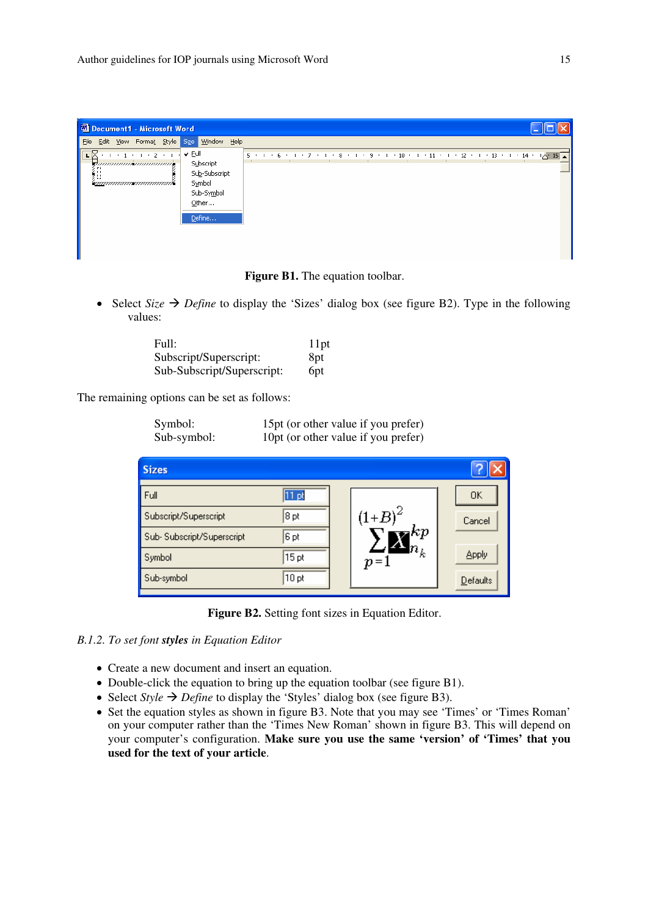| <b>Ed Document1 - Microsoft Word</b>                                             |                                                                                        |                                                                                            |  |  |  |  |  |  |
|----------------------------------------------------------------------------------|----------------------------------------------------------------------------------------|--------------------------------------------------------------------------------------------|--|--|--|--|--|--|
| Edit View Format Style Size Window Help<br>Eile                                  |                                                                                        |                                                                                            |  |  |  |  |  |  |
| $-1$ + 2 + 1<br>duunnumismuunnumi<br><b>F1</b><br>۰.,<br><u>'emmunmennmummun</u> | v Eull<br><b>Subscript</b><br>Sub-Subscript<br>Symbol<br>Sub-Symbol<br>Other<br>Define | $5 + 1 + 6 + 1 + 7 + 1 + 8 + 1 + 9 + 1 + 10 + 1 + 11 + 1 + 12 + 1 + 13 + 1 + 14 + 12 + 15$ |  |  |  |  |  |  |
|                                                                                  |                                                                                        |                                                                                            |  |  |  |  |  |  |
|                                                                                  |                                                                                        |                                                                                            |  |  |  |  |  |  |



• Select *Size*  $\rightarrow$  *Define* to display the 'Sizes' dialog box (see figure B2). Type in the following values:

| Full:                      | 11pt            |
|----------------------------|-----------------|
| Subscript/Superscript:     | 8 <sub>pt</sub> |
| Sub-Subscript/Superscript: | 6 <sub>pt</sub> |

The remaining options can be set as follows:

| Symbol:     | 15pt (or other value if you prefer) |
|-------------|-------------------------------------|
| Sub-symbol: | 10pt (or other value if you prefer) |

| <b>Sizes</b>              |                  |                     |                 |
|---------------------------|------------------|---------------------|-----------------|
| Full                      | - Dt             |                     | OΚ              |
| Subscript/Superscript     | 8pt              | $(1 + B)^2$         | Cancel          |
| Sub-Subscript/Superscript | 6 pt             | $_{kp}$             |                 |
| Symbol                    | 15 <sub>pt</sub> | $\bm{h}_k$<br>$p=1$ | Apply           |
| Sub-symbol                | 10pt             |                     | <b>Defaults</b> |

**Figure B2.** Setting font sizes in Equation Editor.

## *B.1.2. To set font styles in Equation Editor*

- Create a new document and insert an equation.
- Double-click the equation to bring up the equation toolbar (see figure B1).
- Select *Style*  $\rightarrow$  *Define* to display the 'Styles' dialog box (see figure B3).
- Set the equation styles as shown in figure B3. Note that you may see 'Times' or 'Times Roman' on your computer rather than the 'Times New Roman' shown in figure B3. This will depend on your computer's configuration. **Make sure you use the same 'version' of 'Times' that you used for the text of your article**.